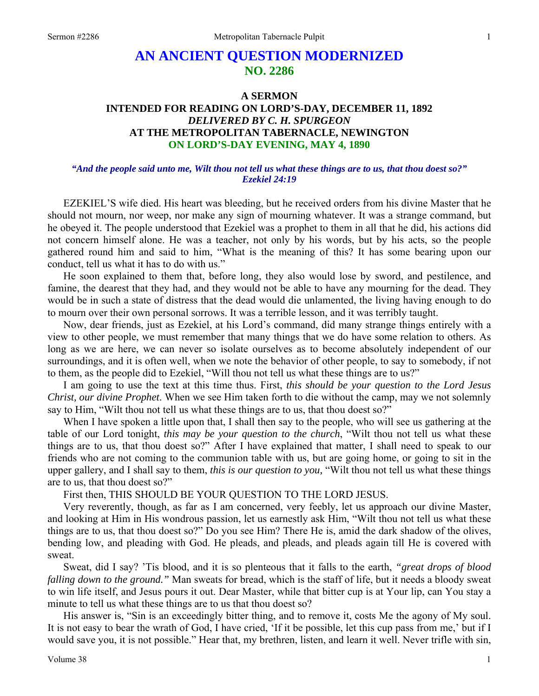# **AN ANCIENT QUESTION MODERNIZED NO. 2286**

## **A SERMON INTENDED FOR READING ON LORD'S-DAY, DECEMBER 11, 1892**  *DELIVERED BY C. H. SPURGEON*  **AT THE METROPOLITAN TABERNACLE, NEWINGTON ON LORD'S-DAY EVENING, MAY 4, 1890**

#### *"And the people said unto me, Wilt thou not tell us what these things are to us, that thou doest so?" Ezekiel 24:19*

EZEKIEL'S wife died. His heart was bleeding, but he received orders from his divine Master that he should not mourn, nor weep, nor make any sign of mourning whatever. It was a strange command, but he obeyed it. The people understood that Ezekiel was a prophet to them in all that he did, his actions did not concern himself alone. He was a teacher, not only by his words, but by his acts, so the people gathered round him and said to him, "What is the meaning of this? It has some bearing upon our conduct, tell us what it has to do with us."

He soon explained to them that, before long, they also would lose by sword, and pestilence, and famine, the dearest that they had, and they would not be able to have any mourning for the dead. They would be in such a state of distress that the dead would die unlamented, the living having enough to do to mourn over their own personal sorrows. It was a terrible lesson, and it was terribly taught.

Now, dear friends, just as Ezekiel, at his Lord's command, did many strange things entirely with a view to other people, we must remember that many things that we do have some relation to others. As long as we are here, we can never so isolate ourselves as to become absolutely independent of our surroundings, and it is often well, when we note the behavior of other people, to say to somebody, if not to them, as the people did to Ezekiel, "Will thou not tell us what these things are to us?"

I am going to use the text at this time thus. First, *this should be your question to the Lord Jesus Christ, our divine Prophet*. When we see Him taken forth to die without the camp, may we not solemnly say to Him, "Wilt thou not tell us what these things are to us, that thou doest so?"

When I have spoken a little upon that, I shall then say to the people, who will see us gathering at the table of our Lord tonight, *this may be your question to the church*, "Wilt thou not tell us what these things are to us, that thou doest so?" After I have explained that matter, I shall need to speak to our friends who are not coming to the communion table with us, but are going home, or going to sit in the upper gallery, and I shall say to them, *this is our question to you,* "Wilt thou not tell us what these things are to us, that thou doest so?"

First then, THIS SHOULD BE YOUR QUESTION TO THE LORD JESUS.

Very reverently, though, as far as I am concerned, very feebly, let us approach our divine Master, and looking at Him in His wondrous passion, let us earnestly ask Him, "Wilt thou not tell us what these things are to us, that thou doest so?" Do you see Him? There He is, amid the dark shadow of the olives, bending low, and pleading with God. He pleads, and pleads, and pleads again till He is covered with sweat.

Sweat, did I say? 'Tis blood, and it is so plenteous that it falls to the earth, *"great drops of blood falling down to the ground."* Man sweats for bread, which is the staff of life, but it needs a bloody sweat to win life itself, and Jesus pours it out. Dear Master, while that bitter cup is at Your lip, can You stay a minute to tell us what these things are to us that thou doest so?

His answer is, "Sin is an exceedingly bitter thing, and to remove it, costs Me the agony of My soul. It is not easy to bear the wrath of God, I have cried, 'If it be possible, let this cup pass from me,' but if I would save you, it is not possible." Hear that, my brethren, listen, and learn it well. Never trifle with sin,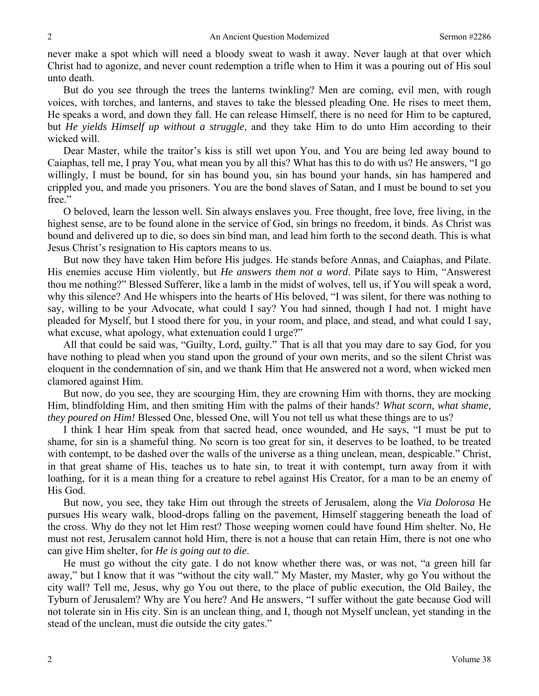never make a spot which will need a bloody sweat to wash it away. Never laugh at that over which Christ had to agonize, and never count redemption a trifle when to Him it was a pouring out of His soul unto death.

But do you see through the trees the lanterns twinkling? Men are coming, evil men, with rough voices, with torches, and lanterns, and staves to take the blessed pleading One. He rises to meet them, He speaks a word, and down they fall. He can release Himself, there is no need for Him to be captured, but *He yields Himself up without a struggle,* and they take Him to do unto Him according to their wicked will.

Dear Master, while the traitor's kiss is still wet upon You, and You are being led away bound to Caiaphas, tell me, I pray You, what mean you by all this? What has this to do with us? He answers, "I go willingly, I must be bound, for sin has bound you, sin has bound your hands, sin has hampered and crippled you, and made you prisoners. You are the bond slaves of Satan, and I must be bound to set you free."

O beloved, learn the lesson well. Sin always enslaves you. Free thought, free love, free living, in the highest sense, are to be found alone in the service of God, sin brings no freedom, it binds. As Christ was bound and delivered up to die, so does sin bind man, and lead him forth to the second death. This is what Jesus Christ's resignation to His captors means to us.

But now they have taken Him before His judges. He stands before Annas, and Caiaphas, and Pilate. His enemies accuse Him violently, but *He answers them not a word*. Pilate says to Him, "Answerest thou me nothing?" Blessed Sufferer, like a lamb in the midst of wolves, tell us, if You will speak a word, why this silence? And He whispers into the hearts of His beloved, "I was silent, for there was nothing to say, willing to be your Advocate, what could I say? You had sinned, though I had not. I might have pleaded for Myself, but I stood there for you, in your room, and place, and stead, and what could I say, what excuse, what apology, what extenuation could I urge?"

All that could be said was, "Guilty, Lord, guilty." That is all that you may dare to say God, for you have nothing to plead when you stand upon the ground of your own merits, and so the silent Christ was eloquent in the condemnation of sin, and we thank Him that He answered not a word, when wicked men clamored against Him.

But now, do you see, they are scourging Him, they are crowning Him with thorns, they are mocking Him, blindfolding Him, and then smiting Him with the palms of their hands? *What scorn, what shame, they poured on Him!* Blessed One, blessed One, will You not tell us what these things are to us?

I think I hear Him speak from that sacred head, once wounded, and He says, "I must be put to shame, for sin is a shameful thing. No scorn is too great for sin, it deserves to be loathed, to be treated with contempt, to be dashed over the walls of the universe as a thing unclean, mean, despicable." Christ, in that great shame of His, teaches us to hate sin, to treat it with contempt, turn away from it with loathing, for it is a mean thing for a creature to rebel against His Creator, for a man to be an enemy of His God.

But now, you see, they take Him out through the streets of Jerusalem, along the *Via Dolorosa* He pursues His weary walk, blood-drops falling on the pavement, Himself staggering beneath the load of the cross. Why do they not let Him rest? Those weeping women could have found Him shelter. No, He must not rest, Jerusalem cannot hold Him, there is not a house that can retain Him, there is not one who can give Him shelter, for *He is going out to die*.

He must go without the city gate. I do not know whether there was, or was not, "a green hill far away," but I know that it was "without the city wall." My Master, my Master, why go You without the city wall? Tell me, Jesus, why go You out there, to the place of public execution, the Old Bailey, the Tyburn of Jerusalem? Why are You here? And He answers, "I suffer without the gate because God will not tolerate sin in His city. Sin is an unclean thing, and I, though not Myself unclean, yet standing in the stead of the unclean, must die outside the city gates."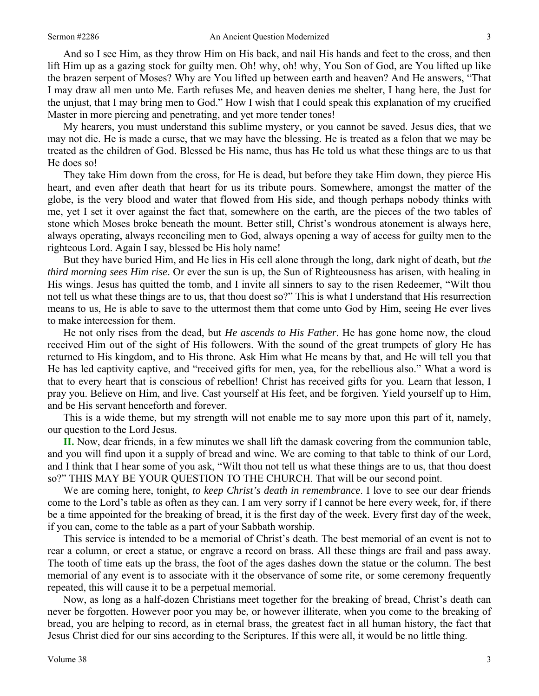And so I see Him, as they throw Him on His back, and nail His hands and feet to the cross, and then lift Him up as a gazing stock for guilty men. Oh! why, oh! why, You Son of God, are You lifted up like the brazen serpent of Moses? Why are You lifted up between earth and heaven? And He answers, "That I may draw all men unto Me. Earth refuses Me, and heaven denies me shelter, I hang here, the Just for the unjust, that I may bring men to God." How I wish that I could speak this explanation of my crucified Master in more piercing and penetrating, and yet more tender tones!

My hearers, you must understand this sublime mystery, or you cannot be saved. Jesus dies, that we may not die. He is made a curse, that we may have the blessing. He is treated as a felon that we may be treated as the children of God. Blessed be His name, thus has He told us what these things are to us that He does so!

They take Him down from the cross, for He is dead, but before they take Him down, they pierce His heart, and even after death that heart for us its tribute pours. Somewhere, amongst the matter of the globe, is the very blood and water that flowed from His side, and though perhaps nobody thinks with me, yet I set it over against the fact that, somewhere on the earth, are the pieces of the two tables of stone which Moses broke beneath the mount. Better still, Christ's wondrous atonement is always here, always operating, always reconciling men to God, always opening a way of access for guilty men to the righteous Lord. Again I say, blessed be His holy name!

But they have buried Him, and He lies in His cell alone through the long, dark night of death, but *the third morning sees Him rise*. Or ever the sun is up, the Sun of Righteousness has arisen, with healing in His wings. Jesus has quitted the tomb, and I invite all sinners to say to the risen Redeemer, "Wilt thou not tell us what these things are to us, that thou doest so?" This is what I understand that His resurrection means to us, He is able to save to the uttermost them that come unto God by Him, seeing He ever lives to make intercession for them.

He not only rises from the dead, but *He ascends to His Father*. He has gone home now, the cloud received Him out of the sight of His followers. With the sound of the great trumpets of glory He has returned to His kingdom, and to His throne. Ask Him what He means by that, and He will tell you that He has led captivity captive, and "received gifts for men, yea, for the rebellious also." What a word is that to every heart that is conscious of rebellion! Christ has received gifts for you. Learn that lesson, I pray you. Believe on Him, and live. Cast yourself at His feet, and be forgiven. Yield yourself up to Him, and be His servant henceforth and forever.

This is a wide theme, but my strength will not enable me to say more upon this part of it, namely, our question to the Lord Jesus.

**II.** Now, dear friends, in a few minutes we shall lift the damask covering from the communion table, and you will find upon it a supply of bread and wine. We are coming to that table to think of our Lord, and I think that I hear some of you ask, "Wilt thou not tell us what these things are to us, that thou doest so?" THIS MAY BE YOUR QUESTION TO THE CHURCH. That will be our second point.

We are coming here, tonight, *to keep Christ's death in remembrance*. I love to see our dear friends come to the Lord's table as often as they can. I am very sorry if I cannot be here every week, for, if there be a time appointed for the breaking of bread, it is the first day of the week. Every first day of the week, if you can, come to the table as a part of your Sabbath worship.

This service is intended to be a memorial of Christ's death. The best memorial of an event is not to rear a column, or erect a statue, or engrave a record on brass. All these things are frail and pass away. The tooth of time eats up the brass, the foot of the ages dashes down the statue or the column. The best memorial of any event is to associate with it the observance of some rite, or some ceremony frequently repeated, this will cause it to be a perpetual memorial.

Now, as long as a half-dozen Christians meet together for the breaking of bread, Christ's death can never be forgotten. However poor you may be, or however illiterate, when you come to the breaking of bread, you are helping to record, as in eternal brass, the greatest fact in all human history, the fact that Jesus Christ died for our sins according to the Scriptures. If this were all, it would be no little thing.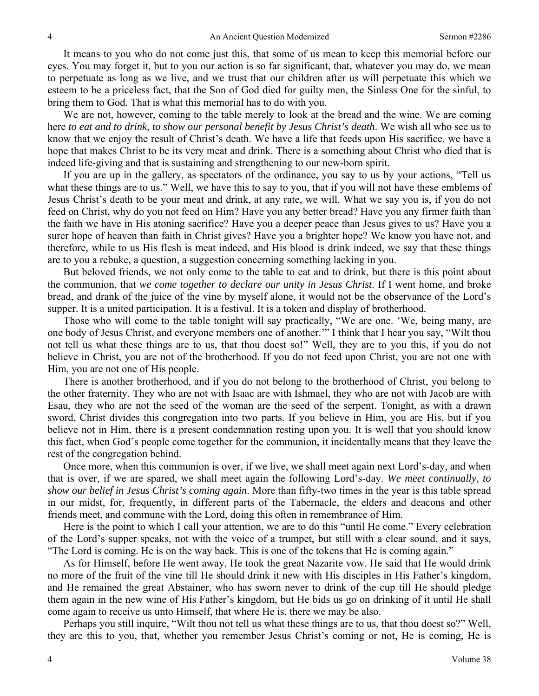It means to you who do not come just this, that some of us mean to keep this memorial before our eyes. You may forget it, but to you our action is so far significant, that, whatever you may do, we mean to perpetuate as long as we live, and we trust that our children after us will perpetuate this which we esteem to be a priceless fact, that the Son of God died for guilty men, the Sinless One for the sinful, to bring them to God. That is what this memorial has to do with you.

We are not, however, coming to the table merely to look at the bread and the wine. We are coming here *to eat and to drink, to show our personal benefit by Jesus Christ's death*. We wish all who see us to know that we enjoy the result of Christ's death. We have a life that feeds upon His sacrifice, we have a hope that makes Christ to be its very meat and drink. There is a something about Christ who died that is indeed life-giving and that is sustaining and strengthening to our new-born spirit.

If you are up in the gallery, as spectators of the ordinance, you say to us by your actions, "Tell us what these things are to us." Well, we have this to say to you, that if you will not have these emblems of Jesus Christ's death to be your meat and drink, at any rate, we will. What we say you is, if you do not feed on Christ, why do you not feed on Him? Have you any better bread? Have you any firmer faith than the faith we have in His atoning sacrifice? Have you a deeper peace than Jesus gives to us? Have you a surer hope of heaven than faith in Christ gives? Have you a brighter hope? We know you have not, and therefore, while to us His flesh is meat indeed, and His blood is drink indeed, we say that these things are to you a rebuke, a question, a suggestion concerning something lacking in you.

But beloved friends, we not only come to the table to eat and to drink, but there is this point about the communion, that *we come together to declare our unity in Jesus Christ*. If I went home, and broke bread, and drank of the juice of the vine by myself alone, it would not be the observance of the Lord's supper. It is a united participation. It is a festival. It is a token and display of brotherhood.

Those who will come to the table tonight will say practically, "We are one. 'We, being many, are one body of Jesus Christ, and everyone members one of another.'" I think that I hear you say, "Wilt thou not tell us what these things are to us, that thou doest so!" Well, they are to you this, if you do not believe in Christ, you are not of the brotherhood. If you do not feed upon Christ, you are not one with Him, you are not one of His people.

There is another brotherhood, and if you do not belong to the brotherhood of Christ, you belong to the other fraternity. They who are not with Isaac are with Ishmael, they who are not with Jacob are with Esau, they who are not the seed of the woman are the seed of the serpent. Tonight, as with a drawn sword, Christ divides this congregation into two parts. If you believe in Him, you are His, but if you believe not in Him, there is a present condemnation resting upon you. It is well that you should know this fact, when God's people come together for the communion, it incidentally means that they leave the rest of the congregation behind.

Once more, when this communion is over, if we live, we shall meet again next Lord's-day, and when that is over, if we are spared, we shall meet again the following Lord's-day. *We meet continually, to show our belief in Jesus Christ's coming again*. More than fifty-two times in the year is this table spread in our midst, for, frequently, in different parts of the Tabernacle, the elders and deacons and other friends meet, and commune with the Lord, doing this often in remembrance of Him.

Here is the point to which I call your attention, we are to do this "until He come." Every celebration of the Lord's supper speaks, not with the voice of a trumpet, but still with a clear sound, and it says, "The Lord is coming. He is on the way back. This is one of the tokens that He is coming again."

As for Himself, before He went away, He took the great Nazarite vow. He said that He would drink no more of the fruit of the vine till He should drink it new with His disciples in His Father's kingdom, and He remained the great Abstainer, who has sworn never to drink of the cup till He should pledge them again in the new wine of His Father's kingdom, but He bids us go on drinking of it until He shall come again to receive us unto Himself, that where He is, there we may be also.

Perhaps you still inquire, "Wilt thou not tell us what these things are to us, that thou doest so?" Well, they are this to you, that, whether you remember Jesus Christ's coming or not, He is coming, He is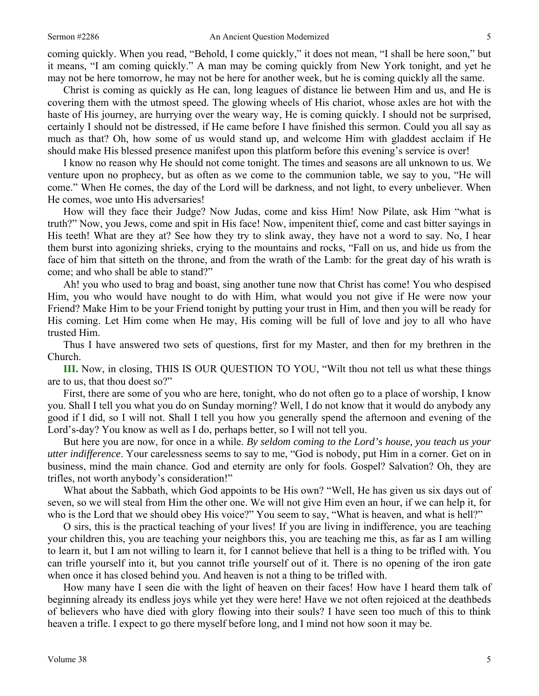coming quickly. When you read, "Behold, I come quickly," it does not mean, "I shall be here soon," but it means, "I am coming quickly." A man may be coming quickly from New York tonight, and yet he may not be here tomorrow, he may not be here for another week, but he is coming quickly all the same.

Christ is coming as quickly as He can, long leagues of distance lie between Him and us, and He is covering them with the utmost speed. The glowing wheels of His chariot, whose axles are hot with the haste of His journey, are hurrying over the weary way, He is coming quickly. I should not be surprised, certainly I should not be distressed, if He came before I have finished this sermon. Could you all say as much as that? Oh, how some of us would stand up, and welcome Him with gladdest acclaim if He should make His blessed presence manifest upon this platform before this evening's service is over!

I know no reason why He should not come tonight. The times and seasons are all unknown to us. We venture upon no prophecy, but as often as we come to the communion table, we say to you, "He will come." When He comes, the day of the Lord will be darkness, and not light, to every unbeliever. When He comes, woe unto His adversaries!

How will they face their Judge? Now Judas, come and kiss Him! Now Pilate, ask Him "what is truth?" Now, you Jews, come and spit in His face! Now, impenitent thief, come and cast bitter sayings in His teeth! What are they at? See how they try to slink away, they have not a word to say. No, I hear them burst into agonizing shrieks, crying to the mountains and rocks, "Fall on us, and hide us from the face of him that sitteth on the throne, and from the wrath of the Lamb: for the great day of his wrath is come; and who shall be able to stand?"

Ah! you who used to brag and boast, sing another tune now that Christ has come! You who despised Him, you who would have nought to do with Him, what would you not give if He were now your Friend? Make Him to be your Friend tonight by putting your trust in Him, and then you will be ready for His coming. Let Him come when He may, His coming will be full of love and joy to all who have trusted Him.

Thus I have answered two sets of questions, first for my Master, and then for my brethren in the Church.

**III.** Now, in closing, THIS IS OUR QUESTION TO YOU, "Wilt thou not tell us what these things are to us, that thou doest so?"

First, there are some of you who are here, tonight, who do not often go to a place of worship, I know you. Shall I tell you what you do on Sunday morning? Well, I do not know that it would do anybody any good if I did, so I will not. Shall I tell you how you generally spend the afternoon and evening of the Lord's-day? You know as well as I do, perhaps better, so I will not tell you.

But here you are now, for once in a while. *By seldom coming to the Lord's house, you teach us your utter indifference*. Your carelessness seems to say to me, "God is nobody, put Him in a corner. Get on in business, mind the main chance. God and eternity are only for fools. Gospel? Salvation? Oh, they are trifles, not worth anybody's consideration!"

What about the Sabbath, which God appoints to be His own? "Well, He has given us six days out of seven, so we will steal from Him the other one. We will not give Him even an hour, if we can help it, for who is the Lord that we should obey His voice?" You seem to say, "What is heaven, and what is hell?"

O sirs, this is the practical teaching of your lives! If you are living in indifference, you are teaching your children this, you are teaching your neighbors this, you are teaching me this, as far as I am willing to learn it, but I am not willing to learn it, for I cannot believe that hell is a thing to be trifled with. You can trifle yourself into it, but you cannot trifle yourself out of it. There is no opening of the iron gate when once it has closed behind you. And heaven is not a thing to be trifled with.

How many have I seen die with the light of heaven on their faces! How have I heard them talk of beginning already its endless joys while yet they were here! Have we not often rejoiced at the deathbeds of believers who have died with glory flowing into their souls? I have seen too much of this to think heaven a trifle. I expect to go there myself before long, and I mind not how soon it may be.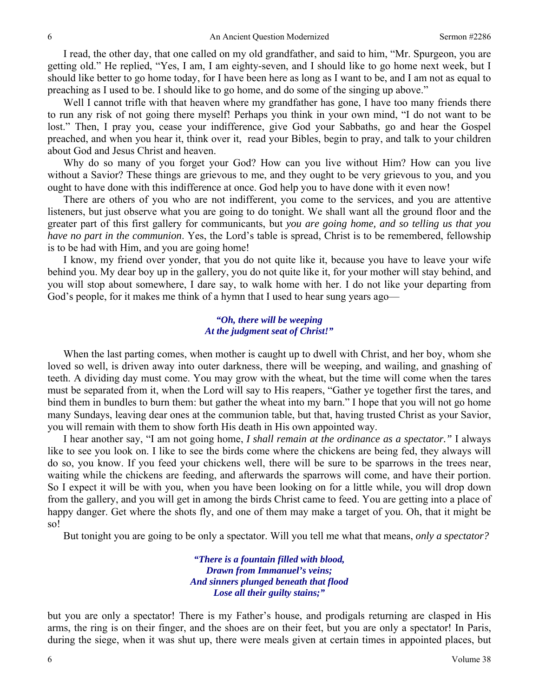I read, the other day, that one called on my old grandfather, and said to him, "Mr. Spurgeon, you are getting old." He replied, "Yes, I am, I am eighty-seven, and I should like to go home next week, but I should like better to go home today, for I have been here as long as I want to be, and I am not as equal to preaching as I used to be. I should like to go home, and do some of the singing up above."

Well I cannot trifle with that heaven where my grandfather has gone, I have too many friends there to run any risk of not going there myself! Perhaps you think in your own mind, "I do not want to be lost." Then, I pray you, cease your indifference, give God your Sabbaths, go and hear the Gospel preached, and when you hear it, think over it, read your Bibles, begin to pray, and talk to your children about God and Jesus Christ and heaven.

Why do so many of you forget your God? How can you live without Him? How can you live without a Savior? These things are grievous to me, and they ought to be very grievous to you, and you ought to have done with this indifference at once. God help you to have done with it even now!

There are others of you who are not indifferent, you come to the services, and you are attentive listeners, but just observe what you are going to do tonight. We shall want all the ground floor and the greater part of this first gallery for communicants, but *you are going home, and so telling us that you have no part in the communion*. Yes, the Lord's table is spread, Christ is to be remembered, fellowship is to be had with Him, and you are going home!

I know, my friend over yonder, that you do not quite like it, because you have to leave your wife behind you. My dear boy up in the gallery, you do not quite like it, for your mother will stay behind, and you will stop about somewhere, I dare say, to walk home with her. I do not like your departing from God's people, for it makes me think of a hymn that I used to hear sung years ago—

#### *"Oh, there will be weeping At the judgment seat of Christ!"*

When the last parting comes, when mother is caught up to dwell with Christ, and her boy, whom she loved so well, is driven away into outer darkness, there will be weeping, and wailing, and gnashing of teeth. A dividing day must come. You may grow with the wheat, but the time will come when the tares must be separated from it, when the Lord will say to His reapers, "Gather ye together first the tares, and bind them in bundles to burn them: but gather the wheat into my barn." I hope that you will not go home many Sundays, leaving dear ones at the communion table, but that, having trusted Christ as your Savior, you will remain with them to show forth His death in His own appointed way.

I hear another say, "I am not going home, *I shall remain at the ordinance as a spectator."* I always like to see you look on. I like to see the birds come where the chickens are being fed, they always will do so, you know. If you feed your chickens well, there will be sure to be sparrows in the trees near, waiting while the chickens are feeding, and afterwards the sparrows will come, and have their portion. So I expect it will be with you, when you have been looking on for a little while, you will drop down from the gallery, and you will get in among the birds Christ came to feed. You are getting into a place of happy danger. Get where the shots fly, and one of them may make a target of you. Oh, that it might be so!

But tonight you are going to be only a spectator. Will you tell me what that means, *only a spectator?* 

*"There is a fountain filled with blood, Drawn from Immanuel's veins; And sinners plunged beneath that flood Lose all their guilty stains;"* 

but you are only a spectator! There is my Father's house, and prodigals returning are clasped in His arms, the ring is on their finger, and the shoes are on their feet, but you are only a spectator! In Paris, during the siege, when it was shut up, there were meals given at certain times in appointed places, but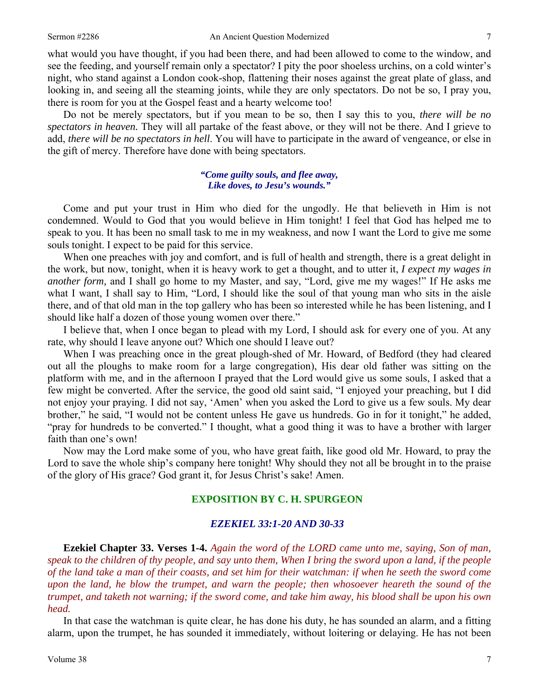what would you have thought, if you had been there, and had been allowed to come to the window, and see the feeding, and yourself remain only a spectator? I pity the poor shoeless urchins, on a cold winter's night, who stand against a London cook-shop, flattening their noses against the great plate of glass, and looking in, and seeing all the steaming joints, while they are only spectators. Do not be so, I pray you, there is room for you at the Gospel feast and a hearty welcome too!

Do not be merely spectators, but if you mean to be so, then I say this to you, *there will be no spectators in heaven.* They will all partake of the feast above, or they will not be there. And I grieve to add, *there will be no spectators in hell*. You will have to participate in the award of vengeance, or else in the gift of mercy. Therefore have done with being spectators.

#### *"Come guilty souls, and flee away, Like doves, to Jesu's wounds."*

Come and put your trust in Him who died for the ungodly. He that believeth in Him is not condemned. Would to God that you would believe in Him tonight! I feel that God has helped me to speak to you. It has been no small task to me in my weakness, and now I want the Lord to give me some souls tonight. I expect to be paid for this service.

When one preaches with joy and comfort, and is full of health and strength, there is a great delight in the work, but now, tonight, when it is heavy work to get a thought, and to utter it, *I expect my wages in another form,* and I shall go home to my Master, and say, "Lord, give me my wages!" If He asks me what I want, I shall say to Him, "Lord, I should like the soul of that young man who sits in the aisle there, and of that old man in the top gallery who has been so interested while he has been listening, and I should like half a dozen of those young women over there."

I believe that, when I once began to plead with my Lord, I should ask for every one of you. At any rate, why should I leave anyone out? Which one should I leave out?

When I was preaching once in the great plough-shed of Mr. Howard, of Bedford (they had cleared out all the ploughs to make room for a large congregation), His dear old father was sitting on the platform with me, and in the afternoon I prayed that the Lord would give us some souls, I asked that a few might be converted. After the service, the good old saint said, "I enjoyed your preaching, but I did not enjoy your praying. I did not say, 'Amen' when you asked the Lord to give us a few souls. My dear brother," he said, "I would not be content unless He gave us hundreds. Go in for it tonight," he added, "pray for hundreds to be converted." I thought, what a good thing it was to have a brother with larger faith than one's own!

Now may the Lord make some of you, who have great faith, like good old Mr. Howard, to pray the Lord to save the whole ship's company here tonight! Why should they not all be brought in to the praise of the glory of His grace? God grant it, for Jesus Christ's sake! Amen.

### **EXPOSITION BY C. H. SPURGEON**

#### *EZEKIEL 33:1-20 AND 30-33*

**Ezekiel Chapter 33. Verses 1-4.** *Again the word of the LORD came unto me, saying, Son of man, speak to the children of thy people, and say unto them, When I bring the sword upon a land, if the people of the land take a man of their coasts, and set him for their watchman: if when he seeth the sword come upon the land, he blow the trumpet, and warn the people; then whosoever heareth the sound of the trumpet, and taketh not warning; if the sword come, and take him away, his blood shall be upon his own head.*

In that case the watchman is quite clear, he has done his duty, he has sounded an alarm, and a fitting alarm, upon the trumpet, he has sounded it immediately, without loitering or delaying. He has not been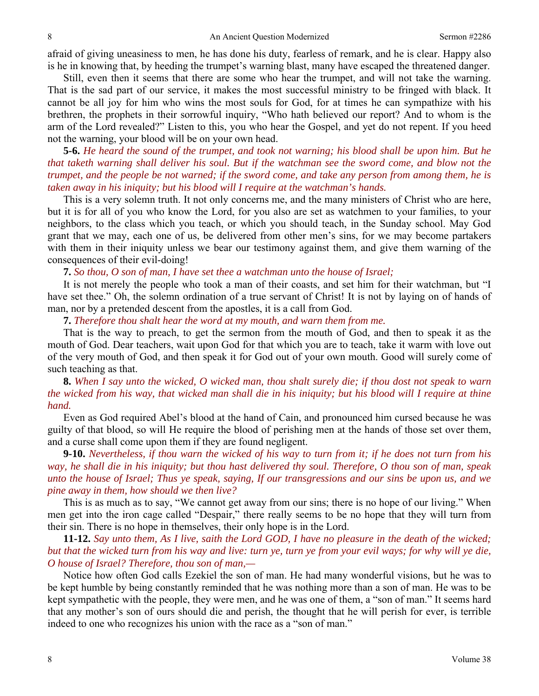afraid of giving uneasiness to men, he has done his duty, fearless of remark, and he is clear. Happy also is he in knowing that, by heeding the trumpet's warning blast, many have escaped the threatened danger.

Still, even then it seems that there are some who hear the trumpet, and will not take the warning. That is the sad part of our service, it makes the most successful ministry to be fringed with black. It cannot be all joy for him who wins the most souls for God, for at times he can sympathize with his brethren, the prophets in their sorrowful inquiry, "Who hath believed our report? And to whom is the arm of the Lord revealed?" Listen to this, you who hear the Gospel, and yet do not repent. If you heed not the warning, your blood will be on your own head.

**5-6.** *He heard the sound of the trumpet, and took not warning; his blood shall be upon him. But he that taketh warning shall deliver his soul. But if the watchman see the sword come, and blow not the trumpet, and the people be not warned; if the sword come, and take any person from among them, he is taken away in his iniquity; but his blood will I require at the watchman's hands.*

This is a very solemn truth. It not only concerns me, and the many ministers of Christ who are here, but it is for all of you who know the Lord, for you also are set as watchmen to your families, to your neighbors, to the class which you teach, or which you should teach, in the Sunday school. May God grant that we may, each one of us, be delivered from other men's sins, for we may become partakers with them in their iniquity unless we bear our testimony against them, and give them warning of the consequences of their evil-doing!

**7.** *So thou, O son of man, I have set thee a watchman unto the house of Israel;*

It is not merely the people who took a man of their coasts, and set him for their watchman, but "I have set thee." Oh, the solemn ordination of a true servant of Christ! It is not by laying on of hands of man, nor by a pretended descent from the apostles, it is a call from God.

**7.** *Therefore thou shalt hear the word at my mouth, and warn them from me.*

That is the way to preach, to get the sermon from the mouth of God, and then to speak it as the mouth of God. Dear teachers, wait upon God for that which you are to teach, take it warm with love out of the very mouth of God, and then speak it for God out of your own mouth. Good will surely come of such teaching as that.

**8.** *When I say unto the wicked, O wicked man, thou shalt surely die; if thou dost not speak to warn the wicked from his way, that wicked man shall die in his iniquity; but his blood will I require at thine hand.*

Even as God required Abel's blood at the hand of Cain, and pronounced him cursed because he was guilty of that blood, so will He require the blood of perishing men at the hands of those set over them, and a curse shall come upon them if they are found negligent.

**9-10.** *Nevertheless, if thou warn the wicked of his way to turn from it; if he does not turn from his way, he shall die in his iniquity; but thou hast delivered thy soul. Therefore, O thou son of man, speak unto the house of Israel; Thus ye speak, saying, If our transgressions and our sins be upon us, and we pine away in them, how should we then live?*

This is as much as to say, "We cannot get away from our sins; there is no hope of our living." When men get into the iron cage called "Despair," there really seems to be no hope that they will turn from their sin. There is no hope in themselves, their only hope is in the Lord.

**11-12.** *Say unto them, As I live, saith the Lord GOD, I have no pleasure in the death of the wicked; but that the wicked turn from his way and live: turn ye, turn ye from your evil ways; for why will ye die, O house of Israel? Therefore, thou son of man,—*

Notice how often God calls Ezekiel the son of man. He had many wonderful visions, but he was to be kept humble by being constantly reminded that he was nothing more than a son of man. He was to be kept sympathetic with the people, they were men, and he was one of them, a "son of man." It seems hard that any mother's son of ours should die and perish, the thought that he will perish for ever, is terrible indeed to one who recognizes his union with the race as a "son of man."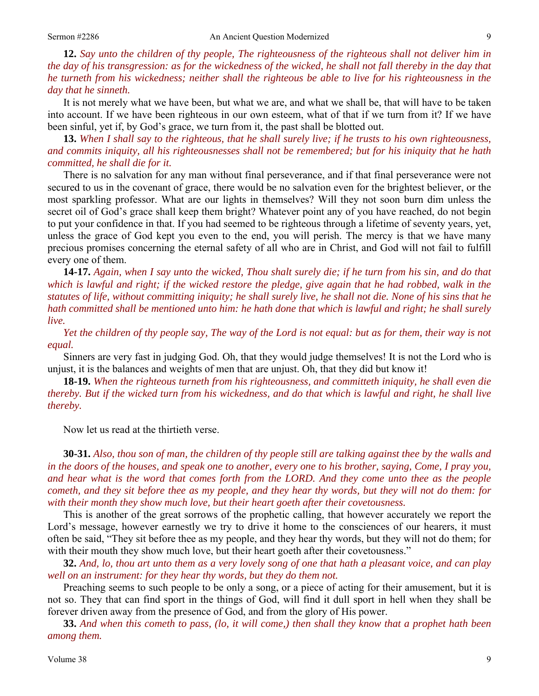**12.** *Say unto the children of thy people, The righteousness of the righteous shall not deliver him in the day of his transgression: as for the wickedness of the wicked, he shall not fall thereby in the day that he turneth from his wickedness; neither shall the righteous be able to live for his righteousness in the day that he sinneth.*

It is not merely what we have been, but what we are, and what we shall be, that will have to be taken into account. If we have been righteous in our own esteem, what of that if we turn from it? If we have been sinful, yet if, by God's grace, we turn from it, the past shall be blotted out.

**13.** *When I shall say to the righteous, that he shall surely live; if he trusts to his own righteousness, and commits iniquity, all his righteousnesses shall not be remembered; but for his iniquity that he hath committed, he shall die for it.*

There is no salvation for any man without final perseverance, and if that final perseverance were not secured to us in the covenant of grace, there would be no salvation even for the brightest believer, or the most sparkling professor. What are our lights in themselves? Will they not soon burn dim unless the secret oil of God's grace shall keep them bright? Whatever point any of you have reached, do not begin to put your confidence in that. If you had seemed to be righteous through a lifetime of seventy years, yet, unless the grace of God kept you even to the end, you will perish. The mercy is that we have many precious promises concerning the eternal safety of all who are in Christ, and God will not fail to fulfill every one of them.

**14-17.** *Again, when I say unto the wicked, Thou shalt surely die; if he turn from his sin, and do that which is lawful and right; if the wicked restore the pledge, give again that he had robbed, walk in the statutes of life, without committing iniquity; he shall surely live, he shall not die. None of his sins that he hath committed shall be mentioned unto him: he hath done that which is lawful and right; he shall surely live.* 

*Yet the children of thy people say, The way of the Lord is not equal: but as for them, their way is not equal.*

Sinners are very fast in judging God. Oh, that they would judge themselves! It is not the Lord who is unjust, it is the balances and weights of men that are unjust. Oh, that they did but know it!

**18-19.** *When the righteous turneth from his righteousness, and committeth iniquity, he shall even die thereby. But if the wicked turn from his wickedness, and do that which is lawful and right, he shall live thereby.* 

Now let us read at the thirtieth verse.

**30-31.** *Also, thou son of man, the children of thy people still are talking against thee by the walls and in the doors of the houses, and speak one to another, every one to his brother, saying, Come, I pray you, and hear what is the word that comes forth from the LORD. And they come unto thee as the people cometh, and they sit before thee as my people, and they hear thy words, but they will not do them: for with their month they show much love, but their heart goeth after their covetousness.*

This is another of the great sorrows of the prophetic calling, that however accurately we report the Lord's message, however earnestly we try to drive it home to the consciences of our hearers, it must often be said, "They sit before thee as my people, and they hear thy words, but they will not do them; for with their mouth they show much love, but their heart goeth after their covetousness."

**32.** *And, lo, thou art unto them as a very lovely song of one that hath a pleasant voice, and can play well on an instrument: for they hear thy words, but they do them not.*

Preaching seems to such people to be only a song, or a piece of acting for their amusement, but it is not so. They that can find sport in the things of God, will find it dull sport in hell when they shall be forever driven away from the presence of God, and from the glory of His power.

**33.** *And when this cometh to pass, (lo, it will come,) then shall they know that a prophet hath been among them.*